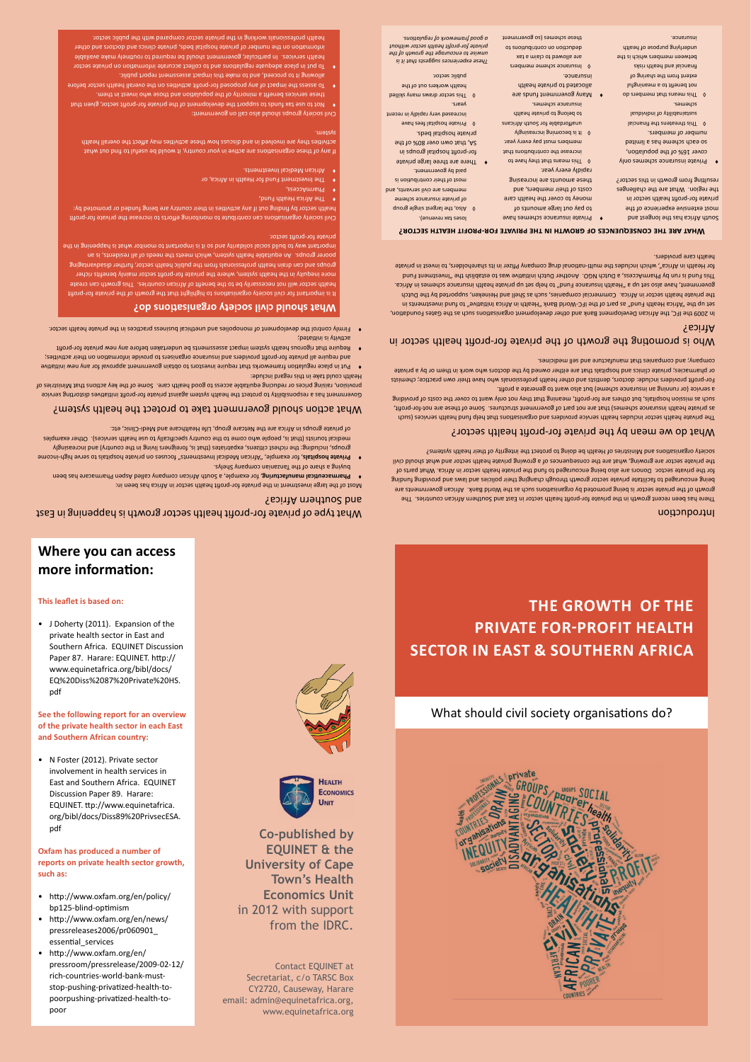### **Where you can access more information:**

What type of private for-profit health sector growth is happening in East

**beta Pharmaceutical manufacturing,** for example, a Gouth African company called Aspen Pharmacare has been in the  $\bullet$ 

what action should government take to protect the health system?

Government has a responsibility to protect the health system against private for-profit initatives distorting service provision, raising prices or reducing equitable access to good health care. Some of the key actions that Ministries of

butive new approval government approves require investors to obtain government approval for any new initiative activities; the information providers and insurance organisers to provide information on their activities; Feduire that rigorous health system impact assessments be undertaken before any new private for-profit

sectior. Hirmly control the development of monopolies and unethical business practices in the private health sector.

fit is important for civil society organisations to highlight that the growth of the private for-profit health sector will not necessarily be to the benefit of African countries. This growth can create more inequity in the health system, where the private for-profit sector mainly benefits richer gnoups and can drain biealth professionals from the health public the fraint draing health groups he

ing in the in the planes proper solidary is what monitor to important using the solidary in the solid build of

Civil society organisations can contribute to monitoring efforts to increase the private for-profit health sector by finding out if any activities in their country are being funded or promoted by:

If any of these organisations are active in your country, it would be useful to find out what health overall the affect may be a finitivity of a sequitions was been as in the support in the support in the

these services benefit a minority of the population and those who invest in them.

health professionals working in the private sector compared with the public sector.

pllowing it to proceed, and to make this impact assessment report public.

that given sector, for-profit private the development of the private for-profit sector, given that

Fo assess the impact of any proposed for-profit activities on the overall health sector before

To put in place adequate regulationate or busine and regulation on private sector health services. In particular, government should be required to routinely make available information on the number of private hospital beds, private clinics and doctors and other

poorer groups. An equitable health system, which meets the needs of all residents, is an

bigh-income serve to hospitals provide of served to the serve to private providing  $\mathbf{P}$  ,  $\mathbf{P}$  ,  $\mathbf{P}$ groups, including: the richest citizens, expatriates (that is, foreigners living in the country) and increasingly medical tourists (that is, people who come to the country specifically to use health services). Other examples

Incert of the large investment in the private for-profit health sector in Africa has been in:

of private groups in Africa are the Netcare group, Life Healthcare and Medi-Clinic, etc.

#### **This leaflet is based on:**

• J Doherty (2011). Expansion of the private health sector in East and Southern Africa. EQUINET Discussion Paper 87. Harare: EQUINET. http:// www.equinetafrica.org/bibl/docs/ EQ%20Diss%2087%20Private%20HS. pdf

• N Foster (2012). Private sector involvement in health services in East and Southern Africa. EQUINET Discussion Paper 89. Harare: EQUINET. ttp://www.equinetafrica. org/bibl/docs/Diss89%20PrivsecESA. pdf

**See the following report for an overview of the private health sector in each East and Southern African country:**

**Oxfam has produced a number of reports on private health sector growth, such as:**

- • http://www.oxfam.org/en/policy/ bp125-blind-optimism
- http://www.oxfam.org/en/news/ pressreleases2006/pr060901\_ essential\_services
- • http://www.oxfam.org/en/ pressroom/pressrelease/2009-02-12/ rich-countries-world-bank-muststop-pushing-privatized-health-topoorpushing-privatized-health-topoor



and Southern Africa?

Health could take in this regard include:

sector. For-brout sector

**Co-published by EQUINET & the University of Cape Town's Health Economics Unit** in 2012 with support from the IDRC.

Contact EQUINET at Secretariat, c/o TARSC Box CY2720, Causeway, Harare email: admin@equinetafrica.org, www.equinetafrica.org

### Introduction

There has been recent growth in the private for-profit health sector in East and Southern African countries. The growth of the private sector is being promoted by organisations such as the World Bank. Atrican governments are being encouraged to facilitate private sector growth through changing their policies and bus and providing funding for the private sector. Donors are also being encouraged to fund the private health sector in Africa. What parts of the private sector are growing, what are the consequences of a growing private health sector and what should civil society organisations and Ministries of Health be doing to protect the integrity of their bealth systems?

### who is promoting the growth of the private for-profit fiealth sector in Africa?

In 2009 the IFC, the African Development Bank and other development organisations such as the Gates Foundation, ni ztnemts van buut ot "evitatini soint an disleeh" and blow-Oal ent to theq as "buua dilaeh sointA" ent qu te the private health sector in Africa. Commercial companies, such as Shell and Heineken, supported by the Dutch Bovernment, have also set up set health insurance Fund" to health a use in the private health insurance set also had Africa. This Fund is run by Pharms as Dutch NGO. Another Dutch initiative was to establish the initiation a pharmacht a for Health in Africa", which includes the multi-national drug company Pfizer in its shareholders, to invest in private health care providers.

### sector? health for-profit private the by mean we do What

The private health sector includes health service providers and organisations that help fund health services (such as private health insurance schemes) that are not part of government structures. Some of these are not-for-profit, such as other to costs of providing the correct meaning fhat they not only want to cover the costs of providing a service (or running an insurance scheme) but also want to generate a profit.

For-profit providers include: doctors, dentists and other health professionals who have their own practice; chemists or pharmacies; private clinics and hospitals that are either owned by the doctors who work in them or by a private combany; and companies that manufacture and sell medicines.

- only semethes insurance schemes only cover 16% of the population, betimil a zad emedoz dose oz
- mumber of members. lsionsnit ent anstearch through isubivibni to ytilidsnistaus schemes.
- ob and means that members do Iutgninsem a ot thened fon Po gninade edt mont the two financial and health risks between members which is the mderlying purpose of health insurance.
- to zhooms egral tuo yaq of money to cover the health care costs of their members, and gnises amounts are increasing rapidly every year. O This means that they have to
- 
- 
- **a** Many government funds are allocated to private health insurance.
- *a good framework of regulations.*
- 
- 
- - of private insurance scheme members are civil servants, and most of their contribution is paid by government. • There are three large private
	- for-profit hospital groups in 5A, that own over 80% of the private hospital beds. Private hospital fees have
	- increased very rapidly in recent years.
	- sector draws many skilled health workers out of the public sector.
- *These experiences suggests that it is unwise to encourage the growth of the private for-profit health sector without*
- 
- brivate insurance schemes have loses tax revenue).  $q$  Also, the largest single group
- increase the contributions that members must pay every year.
- lt is becoming increasingly ensint for South Africans
- to belong to private health semente schemes.
- members scheme Insurance ◊ xst a mislo of bewolls ens
- de duction on contribution to these schemes (so government

## **The growth of the private for-profit health sector in East & Southern Africa**

### What should civil society organisations do?



initiated; is activity

syled2 ynsgmoo nsinssnaf edt to ensangals a gniyud



#### **hat are the consequences of growth in the private for-profit health sector? W**

South Africa has the longest and most extensive experience of the private for-profit health sector in the region. What are the challenges resulting from growth in this sector?

**hat should civil society organisations do? W**

PharmAccess,

system.

 $h_{\rm{F}}$  Health Fund,

Investments. African and also also had

The Investment Fund for Health in Africa, or

Givil society groups should also call on government: